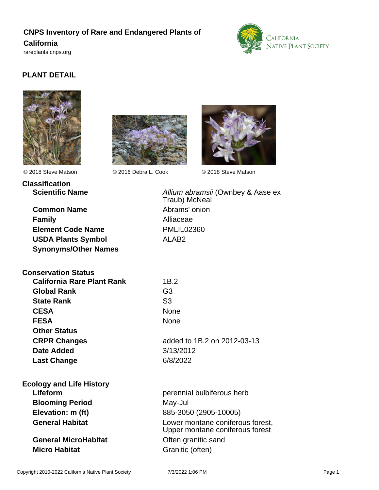# **CNPS Inventory of Rare and Endangered Plants of**

### **California**

<rareplants.cnps.org>



# **PLANT DETAIL**





© 2018 Steve Matson © 2016 Debra L. Cook © 2018 Steve Matson



| Classification         |
|------------------------|
| <b>Scientific Name</b> |
|                        |

**Common Name** Abrams' onion **Family** Alliaceae **Element Code Name** PMLIL02360 **USDA Plants Symbol** ALAB2 **Synonyms/Other Names**

**Scientific Name Allium abramsii (Ownbey & Aase ex** Traub) McNeal

| <b>Conservation Status</b>      |                             |
|---------------------------------|-----------------------------|
| California Rare Plant Rank      | 1B.2                        |
| Global Rank                     | G3                          |
| <b>State Rank</b>               | S <sub>3</sub>              |
| <b>CESA</b>                     | <b>None</b>                 |
| <b>FESA</b>                     | <b>None</b>                 |
| <b>Other Status</b>             |                             |
| <b>CRPR Changes</b>             | added to 1B.2 on 2012-03-13 |
| Date Added                      | 3/13/2012                   |
| <b>Last Change</b>              | 6/8/2022                    |
| <b>Ecology and Life History</b> |                             |

| cology and Life History     |                                                                     |
|-----------------------------|---------------------------------------------------------------------|
| Lifeform                    | perennial bulbiferous herb                                          |
| <b>Blooming Period</b>      | May-Jul                                                             |
| Elevation: m (ft)           | 885-3050 (2905-10005)                                               |
| <b>General Habitat</b>      | Lower montane coniferous forest,<br>Upper montane coniferous forest |
| <b>General MicroHabitat</b> | Often granitic sand                                                 |
| <b>Micro Habitat</b>        | Granitic (often)                                                    |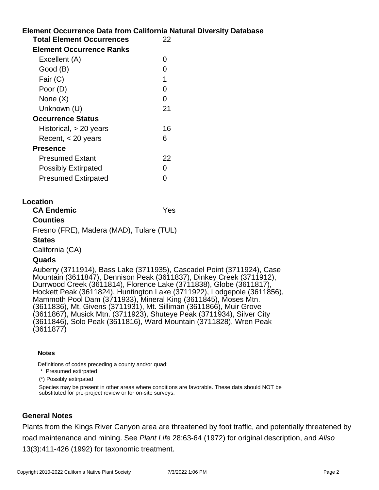# **Element Occurrence Data from California Natural Diversity Database Location Total Element Occurrences** 22 **Element Occurrence Ranks** Excellent (A) 0 Good (B) and the contract of the contract of the contract of the contract of the contract of the contract of the contract of the contract of the contract of the contract of the contract of the contract of the contract of t Fair  $(C)$  1 Poor (D) 0 None  $(X)$  0 Unknown (U) 21 **Occurrence Status** Historical, > 20 years 16 Recent, < 20 years 6 **Presence** Presumed Extant 22 Possibly Extirpated 0 Presumed Extirpated 0 **CA Endemic** Yes **Counties** Fresno (FRE), Madera (MAD), Tulare (TUL)

#### **States**

California (CA)

## **Quads**

Auberry (3711914), Bass Lake (3711935), Cascadel Point (3711924), Case Mountain (3611847), Dennison Peak (3611837), Dinkey Creek (3711912), Durrwood Creek (3611814), Florence Lake (3711838), Globe (3611817), Hockett Peak (3611824), Huntington Lake (3711922), Lodgepole (3611856), Mammoth Pool Dam (3711933), Mineral King (3611845), Moses Mtn. (3611836), Mt. Givens (3711931), Mt. Silliman (3611866), Muir Grove (3611867), Musick Mtn. (3711923), Shuteye Peak (3711934), Silver City (3611846), Solo Peak (3611816), Ward Mountain (3711828), Wren Peak (3611877)

#### **Notes**

Definitions of codes preceding a county and/or quad:

\* Presumed extirpated

(\*) Possibly extirpated

Species may be present in other areas where conditions are favorable. These data should NOT be substituted for pre-project review or for on-site surveys.

# **General Notes**

Plants from the Kings River Canyon area are threatened by foot traffic, and potentially threatened by road maintenance and mining. See Plant Life 28:63-64 (1972) for original description, and Aliso 13(3):411-426 (1992) for taxonomic treatment.